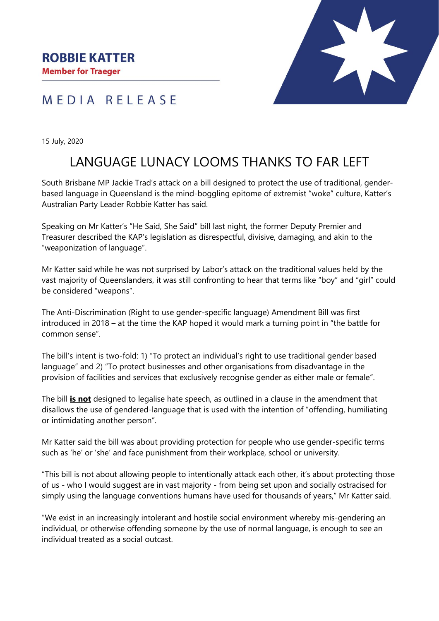## MEDIA RELEASE



15 July, 2020

## LANGUAGE LUNACY LOOMS THANKS TO FAR LEFT

South Brisbane MP Jackie Trad's attack on a bill designed to protect the use of traditional, genderbased language in Queensland is the mind-boggling epitome of extremist "woke" culture, Katter's Australian Party Leader Robbie Katter has said.

Speaking on Mr Katter's "He Said, She Said" bill last night, the former Deputy Premier and Treasurer described the KAP's legislation as disrespectful, divisive, damaging, and akin to the "weaponization of language".

Mr Katter said while he was not surprised by Labor's attack on the traditional values held by the vast majority of Queenslanders, it was still confronting to hear that terms like "boy" and "girl" could be considered "weapons".

The Anti-Discrimination (Right to use gender-specific language) Amendment Bill was first introduced in 2018 – at the time the KAP hoped it would mark a turning point in "the battle for common sense".

The bill's intent is two-fold: 1) "To protect an individual's right to use traditional gender based language" and 2) "To protect businesses and other organisations from disadvantage in the provision of facilities and services that exclusively recognise gender as either male or female".

The bill **is not** designed to legalise hate speech, as outlined in a clause in the amendment that disallows the use of gendered-language that is used with the intention of "offending, humiliating or intimidating another person".

Mr Katter said the bill was about providing protection for people who use gender-specific terms such as 'he' or 'she' and face punishment from their workplace, school or university.

"This bill is not about allowing people to intentionally attack each other, it's about protecting those of us - who I would suggest are in vast majority - from being set upon and socially ostracised for simply using the language conventions humans have used for thousands of years," Mr Katter said.

"We exist in an increasingly intolerant and hostile social environment whereby mis-gendering an individual, or otherwise offending someone by the use of normal language, is enough to see an individual treated as a social outcast.